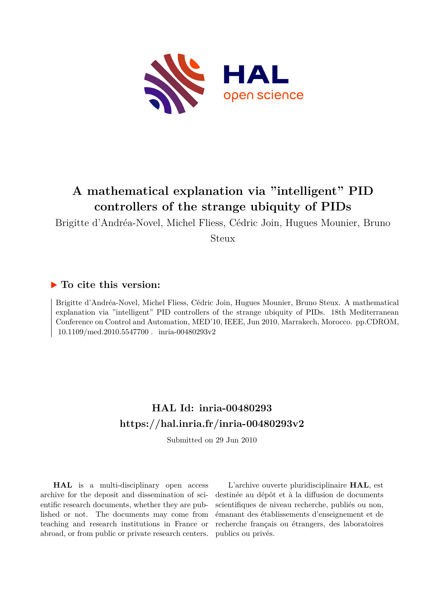

# **A mathematical explanation via "intelligent" PID controllers of the strange ubiquity of PIDs**

Brigitte d'Andréa-Novel, Michel Fliess, Cédric Join, Hugues Mounier, Bruno

Steux

# **To cite this version:**

Brigitte d'Andréa-Novel, Michel Fliess, Cédric Join, Hugues Mounier, Bruno Steux. A mathematical explanation via "intelligent" PID controllers of the strange ubiquity of PIDs. 18th Mediterranean Conference on Control and Automation, MED'10, IEEE, Jun 2010, Marrakech, Morocco. pp.CDROM,  $10.1109/$ med.2010.5547700. inria-00480293v2

# **HAL Id: inria-00480293 <https://hal.inria.fr/inria-00480293v2>**

Submitted on 29 Jun 2010

**HAL** is a multi-disciplinary open access archive for the deposit and dissemination of scientific research documents, whether they are published or not. The documents may come from teaching and research institutions in France or abroad, or from public or private research centers.

L'archive ouverte pluridisciplinaire **HAL**, est destinée au dépôt et à la diffusion de documents scientifiques de niveau recherche, publiés ou non, émanant des établissements d'enseignement et de recherche français ou étrangers, des laboratoires publics ou privés.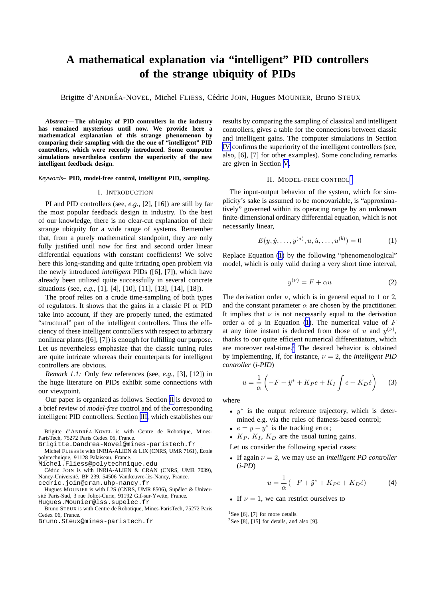# <span id="page-1-0"></span>**A mathematical explanation via "intelligent" PID controllers of the strange ubiquity of PIDs**

Brigitte d'ANDRÉA-NOVEL, Michel FLIESS, Cédric JOIN, Hugues MOUNIER, Bruno STEUX

*Abstract***— The ubiquity of PID controllers in the industry has remained mysterious until now. We provide here a mathematical explanation of this strange phenomenon by comparing their sampling with the the one of "intelligent" PID controllers, which were recently introduced. Some computer simulations nevertheless confirm the superiority of the new intelligent feedback design.**

### *Keywords***– PID, model-free control, intelligent PID, sampling.**

### I. INTRODUCTION

PI and PID controllers (see, *e.g.*, [2], [16]) are still by far the most popular feedback design in industry. To the best of our knowledge, there is no clear-cut explanation of their strange ubiquity for a wide range of systems. Remember that, from a purely mathematical standpoint, they are only fully justified until now for first and second order linear differential equations with constant coefficients! We solve here this long-standing and quite irritating open problem via the newly introduced *intelligent* PIDs ([6], [7]), which have already been utilized quite successfully in several concrete situations (see, *e.g.*, [1], [4], [10], [11], [13], [14], [18]).

The proof relies on a crude time-sampling of both types of regulators. It shows that the gains in a classic PI or PID take into account, if they are properly tuned, the estimated "structural" part of the intelligent controllers. Thus the efficiency of these intelligent controllers with respect to arbitrary nonlinear plants ([6], [7]) is enough for fulfilling our purpose. Let us nevertheless emphasize that the classic tuning rules are quite intricate whereas their counterparts for intelligent controllers are obvious.

*Remark 1.1:* Only few references (see, *e.g.*, [3], [12]) in the huge literature on PIDs exhibit some connections with our viewpoint.

Our paper is organized as follows. Section II is devoted to a brief review of *model-free* control and of the corresponding intelligent PID controllers. Section [III](#page-2-0), which establishes our

Brigitte d'ANDRÉA-NOVEL is with Centre de Robotique, Mines-ParisTech, 75272 Paris Cedex 06, France.

Brigitte.Dandrea-Novel@mines-paristech.fr

Michel FLIESS is with INRIA-ALIEN & LIX (CNRS, UMR 7161), Ecole ´ polytechnique, 91128 Palaiseau, France.

Michel.Fliess@polytechnique.edu

Cédric JOIN is with INRIA-ALIEN & CRAN (CNRS, UMR 7039), Nancy-Université, BP 239, 54506 Vandœuvre-lès-Nancy, France.

cedric.join@cran.uhp-nancy.fr

Hugues MOUNIER is with L2S (CNRS, UMR 8506), Supélec & Université Paris-Sud, 3 rue Joliot-Curie, 91192 Gif-sur-Yvette, France. Hugues.Mounier@lss.supelec.fr

Bruno STEUX is with Centre de Robotique, Mines-ParisTech, 75272 Paris Cedex 06, France.

Bruno.Steux@mines-paristech.fr

results by comparing the sampling of classical and intelligent controllers, gives a table for the connections between classic and intelligent gains. The computer simulations in Section [IV](#page-3-0) confirms the superiority of the intelligent controllers (see, also, [6], [7] for other examples). Some concluding remarks are given in Section [V.](#page-3-0)

#### II. MODEL-FREE CONTROL<sup>1</sup>

The input-output behavior of the system, which for simplicity's sake is assumed to be monovariable, is "approximatively" governed within its operating range by an **unknown** finite-dimensional ordinary differential equation, which is not necessarily linear,

$$
E(y, \dot{y}, \dots, y^{(a)}, u, \dot{u}, \dots, u^{(b)}) = 0 \tag{1}
$$

Replace Equation (1) by the following "phenomenological" model, which is only valid during a very short time interval,

$$
y^{(\nu)} = F + \alpha u \tag{2}
$$

The derivation order  $\nu$ , which is in general equal to 1 or 2, and the constant parameter  $\alpha$  are chosen by the practitioner. It implies that  $\nu$  is not necessarily equal to the derivation order  $a$  of  $y$  in Equation (1). The numerical value of  $F$ at any time instant is deduced from those of u and  $y^{(\nu)}$ , thanks to our quite efficient numerical differentiators, which are moreover real-time.<sup>2</sup> The desired behavior is obtained by implementing, if, for instance,  $\nu = 2$ , the *intelligent PID controller* (*i-PID*)

$$
u = \frac{1}{\alpha} \left( -F + \ddot{y}^* + K_P e + K_I \int e + K_D \dot{e} \right) \tag{3}
$$

where

- $y^*$  is the output reference trajectory, which is determined e.g. via the rules of flatness-based control;
- $e = y y^*$  is the tracking error;

•  $K_P$ ,  $K_I$ ,  $K_D$  are the usual tuning gains.

Let us consider the following special cases:

• If again  $\nu = 2$ , we may use an *intelligent PD controller* (*i-PD*)

$$
u = \frac{1}{\alpha} \left( -F + \ddot{y}^* + K_P e + K_D \dot{e} \right) \tag{4}
$$

• If  $\nu = 1$ , we can restrict ourselves to

<sup>1</sup>See [6], [7] for more details.

<sup>2</sup>See [8], [15] for details, and also [9].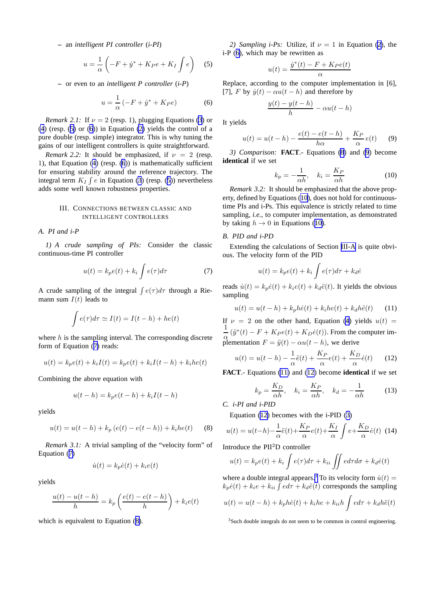<span id="page-2-0"></span>**–** an *intelligent PI controller* (*i-PI*)

$$
u = \frac{1}{\alpha} \left( -F + \dot{y}^* + K_P e + K_I \int e \right) \tag{5}
$$

**–** or even to an *intelligent P controller* (*i-P*)

$$
u = \frac{1}{\alpha} \left( -F + \dot{y}^* + K_P e \right) \tag{6}
$$

*Remark 2.1:* If  $\nu = 2$  (resp. 1), plugging Equations [\(3](#page-1-0)) or [\(4](#page-1-0)) (resp. (5) or (6)) in Equation [\(2\)](#page-1-0) yields the control of a pure double (resp. simple) integrator. This is why tuning the gains of our intelligent controllers is quite straightforward.

*Remark 2.2:* It should be emphasized, if  $\nu = 2$  (resp. 1), that Equation [\(4](#page-1-0)) (resp. (6)) is mathematically sufficient for ensuring stability around the reference trajectory. The integral term  $K_I \int e$  in Equation [\(3](#page-1-0)) (resp. (5)) nevertheless adds some well known robustness properties.

# III. CONNECTIONS BETWEEN CLASSIC AND INTELLIGENT CONTROLLERS

## *A. PI and i-P*

*1) A crude sampling of PIs:* Consider the classic continuous-time PI controller

$$
u(t) = k_p e(t) + k_i \int e(\tau) d\tau \tag{7}
$$

A crude sampling of the integral  $\int e(\tau) d\tau$  through a Riemann sum  $I(t)$  leads to

$$
\int e(\tau)d\tau \simeq I(t) = I(t-h) + he(t)
$$

where  $h$  is the sampling interval. The corresponding discrete form of Equation (7) reads:

$$
u(t) = k_p e(t) + k_i I(t) = k_p e(t) + k_i I(t - h) + k_i h e(t)
$$

Combining the above equation with

$$
u(t-h) = k_p e(t-h) + k_i I(t-h)
$$

yields

$$
u(t) = u(t - h) + k_p (e(t) - e(t - h)) + k_i h e(t)
$$
 (8)

*Remark 3.1:* A trivial sampling of the "velocity form" of Equation (7)

$$
\dot{u}(t) = k_p \dot{e}(t) + k_i e(t)
$$

yields

$$
\frac{u(t) - u(t-h)}{h} = k_p \left( \frac{e(t) - e(t-h)}{h} \right) + k_i e(t)
$$

which is equivalent to Equation (8).

*2) Sampling i-Ps:* Utilize, if  $\nu = 1$  in Equation [\(2](#page-1-0)), the i-P (6), which may be rewritten as

$$
u(t) = \frac{\dot{y}^*(t) - F + K_P e(t)}{\alpha}
$$

Replace, according to the computer implementation in [6], [7], F by  $\dot{y}(t) - \alpha u(t - h)$  and therefore by

$$
\frac{y(t) - y(t - h)}{h} - \alpha u(t - h)
$$

It yields

$$
u(t) = u(t-h) - \frac{e(t) - e(t-h)}{h\alpha} + \frac{K_P}{\alpha}e(t) \qquad (9)
$$

*3) Comparison:* **FACT**.- Equations (8) and (9) become **identical** if we set

$$
k_p = -\frac{1}{\alpha h}, \quad k_i = \frac{K_P}{\alpha h} \tag{10}
$$

*Remark 3.2:* It should be emphasized that the above property, defined by Equations (10), does not hold for continuoustime PIs and i-Ps. This equivalence is strictly related to time sampling, *i.e.*, to computer implementation, as demonstrated by taking  $h \to 0$  in Equations (10).

# *B. PID and i-PD*

Extending the calculations of Section III-A is quite obvious. The velocity form of the PID

$$
u(t) = k_p e(t) + k_i \int e(\tau) d\tau + k_d \dot{e}
$$

reads  $\dot{u}(t) = k_p \dot{e}(t) + k_i e(t) + k_d \ddot{e}(t)$ . It yields the obvious sampling

$$
u(t) = u(t - h) + k_p h \dot{e}(t) + k_i h e(t) + k_d h \ddot{e}(t)
$$
 (11)

If  $\nu = 2$  on the other hand, Equation [\(4](#page-1-0)) yields  $u(t) =$ 1  $\frac{1}{\alpha}(\ddot{y}^*(t) - F + K_P e(t) + K_D \dot{e}(t)).$  From the computer implementation  $F = \ddot{y}(t) - \alpha u(t - h)$ , we derive

$$
u(t) = u(t-h) - \frac{1}{\alpha}\ddot{e}(t) + \frac{K_P}{\alpha}e(t) + \frac{K_D}{\alpha}\dot{e}(t) \qquad (12)
$$

**FACT**.- Equations (11) and (12) become **identical** if we set

$$
k_p = \frac{K_D}{\alpha h}, \quad k_i = \frac{K_P}{\alpha h}, \quad k_d = -\frac{1}{\alpha h} \tag{13}
$$

*C. i-PI and i-PID*

Equation (12) becomes with the i-PID ([3](#page-1-0))

$$
u(t) = u(t-h) - \frac{1}{\alpha}\ddot{e}(t) + \frac{K_P}{\alpha}e(t) + \frac{K_I}{\alpha}\int e + \frac{K_D}{\alpha}\dot{e}(t)
$$
 (14)

Introduce the PII<sup>2</sup>D controller

$$
u(t) = k_p e(t) + k_i \int e(\tau) d\tau + k_{ii} \iint e d\tau d\sigma + k_d \dot{e}(t)
$$

where a double integral appears.<sup>3</sup> To its velocity form  $\dot{u}(t)$  =  $k_p \dot{e}(t) + k_i e + k_{ii} \int e d\tau + k_d \ddot{e}(t)$  corresponds the sampling

$$
u(t) = u(t - h) + k_p h \dot{e}(t) + k_i h e + k_{ii} h \int e d\tau + k_d h \ddot{e}(t)
$$

<sup>3</sup>Such double integrals do not seem to be common in control engineering.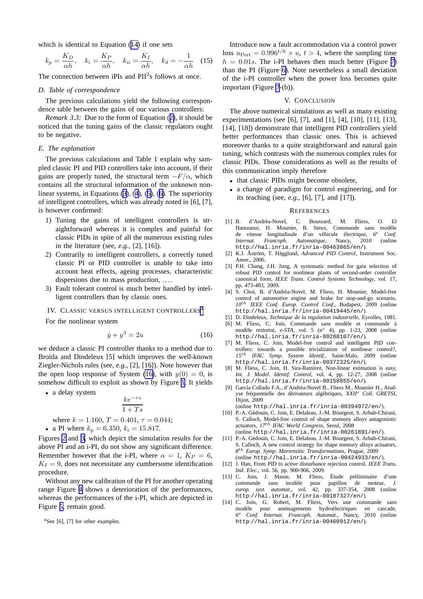<span id="page-3-0"></span>which is identical to Equation ([14\)](#page-2-0) if one sets

$$
k_p = \frac{K_D}{\alpha h}, \quad k_i = \frac{K_P}{\alpha h}, \quad k_{ii} = \frac{K_I}{\alpha h}, \quad k_d = -\frac{1}{\alpha h} \quad (15)
$$

The connection between  $iPIs$  and  $PII<sup>2</sup>s$  follows at once.

### *D. Table of correspondence*

The previous calculations yield the following correspondence table between the gains of our various controllers:

*Remark 3.3:* Due to the form of Equation ([2\)](#page-1-0), it should be noticed that the tuning gains of the classic regulators ought to be negative.

#### *E. The explanation*

The previous calculations and Table 1 explain why sampled classic PI and PID controllers take into account, if their gains are properly tuned, the structural term  $-F/\alpha$ , which contains all the structural information of the unknown nonlinear systems, in Equations ([3\)](#page-1-0), ([4\)](#page-1-0), ([5\)](#page-2-0), ([6\)](#page-2-0). The superiority of intelligent controllers, which was already noted in [6], [7], is however confirmed:

- 1) Tuning the gains of intelligent controllers is straightforward whereas it is complex and painful for classic PIDs in spite of all the numerous existing rules in the literature (see, *e.g.*, [2], [16]).
- 2) Contrarily to intelligent controllers, a correctly tuned classic PI or PID controller is unable to take into account heat effects, ageing processes, characteristic dispersions due to mass production, ....
- 3) Fault tolerant control is much better handled by intelligent controllers than by classic ones.

IV. CLASSIC VERSUS INTELLIGENT CONTROLLERS<sup>4</sup>

For the nonlinear system

$$
\dot{y} + y^3 = 2u \tag{16}
$$

we deduce a classic PI controller thanks to a method due to Broïda and Dindeleux [5] which improves the well-known Ziegler-Nichols rules (see, *e.g.*, [2], [16]). Note however that the open loop response of System (16), with  $y(0) = 0$ , is somehow difficult to exploit as shown by Figure [1.](#page-4-0) It yields

• a delay system

$$
\frac{ke^{-\tau s}}{1+Ts}
$$

where 
$$
k = 1.160
$$
,  $T = 0.401$ ,  $\tau = 0.044$ ;

• a PI where 
$$
k_p = 6.350
$$
,  $k_i = 15.817$ .

Figures [2](#page-4-0) and [3,](#page-5-0) which depict the simulation results for the above PI and an i-PI, do not show any significant difference. Remember however that the i-PI, where  $\alpha = 1$ ,  $K_P = 6$ ,  $K_I = 9$ , does not necessitate any cumbersome identification procedure.

Without any new calibration of the PI for another operating range Figure [4](#page-5-0) shows a deterioration of the performances, whereas the performances of the i-PI, which are depicted in Figure [5,](#page-6-0) remain good.

 $4$ See [6], [7] for other examples.

Introduce now a fault accommodation via a control power loss  $u_{\text{Pert}} = 0.996^{t/h} \times u, t > 4$ , where the sampling time  $h = 0.01s$ . The i-PI behaves then much better (Figure [7\)](#page-7-0) than the PI (Figure [6\)](#page-6-0). Note nevertheless a small deviation of the i-PI controller when the power loss becomes quite important (Figure [7](#page-7-0)-(b)).

## V. CONCLUSION

The above numerical simulations as well as many existing experimentations (see [6], [7], and [1], [4], [10], [11], [13], [14], [18]) demonstrate that intelligent PID controllers yield better performances than classic ones. This is achieved moreover thanks to a quite straightforward and natural gain tuning, which contrasts with the numerous complex rules for classic PIDs. Those considerations as well as the results of this communication imply therefore

- that classic PIDs might become obsolete,
- a change of paradigm for control engineering, and for its teaching (see, *e.g.*, [6], [7], and [17]).

#### **REFERENCES**

- [1] B. d'Andréa-Novel, C. Boussard, M. Fliess, O. El Hamzaoui, H. Mounier, B. Steux, Commande sans modèle de vitesse longitudinale d'un véhicule électrique, 6<sup>*t*</sup> Internat. Francoph. Automatique, Nancy, 2010 <sup>e</sup> *Conf. Internat. Francoph. Automatique*, Nancy, 2010 (online http://hal.inria.fr/inria-00463865/en/).
- [2] K.J. Åström, T. Hägglund, Advanced PID Control, Instrument Soc. Amer., 2006.
- [3] P.H. Chang, J.H. Jung, A systematic method for gain selection of robust PID control for nonlinear plants of second-order controller canonical form, *IEEE Trans. Control Systems Technology*, vol. 17, pp. 473-483, 2009.
- [4] S. Choi, B. d'Andréa-Novel, M. Fliess, H. Mounier, Model-free control of automotive engine and brake for stop-and-go scenario, *10*th *IEEE Conf. Europ. Control Conf.*, Budapest, 2009 (online http://hal.inria.fr/inria-00419445/en/).
- [5] D. Dindeleux, *Technique de la regulation industrielle*, Eyrolles, 1981.
- [6] M. Fliess, C. Join, Commande sans modèle et commande à modèle restreint, *e-STA*, vol. 5 (n<sup>○</sup> 4), pp. 1-23, 2008 (online http://hal.inria.fr/inria-00288107/en/).
- [7] M. Fliess, C. Join, Model-free control and intelligent PID controllers: towards a possible trivialization of nonlinear control?, *15*th *IFAC Symp. System Identif.*, Saint-Malo, 2009 (online http://hal.inria.fr/inria-00372325/en/).
- [8] M. Fliess, C. Join, H. Sira-Ramírez, Non-linear estimation is easy, *Int. J. Model. Identif. Control*, vol. 4, pp. 12-27, 2008 (online http://hal.inria.fr/inria-00158855/en/).
- [9] García Collado F.A., d'Andréa-Novel B., Fliess M., Mounier H., Analyse fréquentielle des dérivateurs algébriques, *XXII<sup>e</sup> Coll. GRETSI*, Dijon, 2009

(online http://hal.inria.fr/inria-00394972/en/).

- [10] P.-A. Gédouin, C. Join, E. Delaleau, J.-M. Bourgeot, S. Arbab-Chirani, S. Calloch, Model-free control of shape memory alloys antagonistic actuators, *17*th *IFAC World Congress*, Seoul, 2008
	- (online http://hal.inria.fr/inria-00261891/en/).
- [11] P.-A. Gédouin, C. Join, E. Delaleau, J.-M. Bourgeot, S. Arbab-Chirani, S. Calloch, A new control strategy for shape memory alloys actuators, *8* th *Europ. Symp. Martensitic Transformations*, Prague, 2009 (online http://hal.inria.fr/inria-00424933/en/).
- [12] J. Han, From PID to active disturbance rejection control, *IEEE Trans. Ind. Elec.*, vol. 56, pp. 900-906, 2009.
- [13] C. Join, J. Masse, M. Fliess, Étude préliminaire d'une commande sans modèle pour papillon de moteur, *J. europ. syst. automat.*, vol. 42, pp. 337-354, 2008 (online http://hal.inria.fr/inria-00187327/en/).
- [14] C. Join, G. Robert, M. Fliess, Vers une commande sans modèle pour aménagements hydroélectriques en cascade, *6* <sup>e</sup> *Conf. Internat. Francoph. Automat.*, Nancy, 2010 (online http://hal.inria.fr/inria-00460912/en/).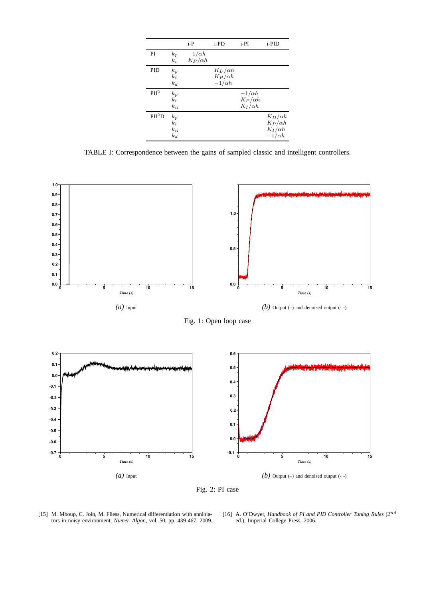<span id="page-4-0"></span>

|                    |                                     | $i-P$                           | i-PD                                              | $i-PI$                                            | i-PID                                                               |
|--------------------|-------------------------------------|---------------------------------|---------------------------------------------------|---------------------------------------------------|---------------------------------------------------------------------|
| PI                 | $k_p$<br>$k_i$                      | $-1/\alpha h$<br>$K_P/\alpha h$ |                                                   |                                                   |                                                                     |
| PID                | $k_p$<br>$k_i$<br>$k_d$             |                                 | $K_D/\alpha h$<br>$K_P/\alpha h$<br>$-1/\alpha h$ |                                                   |                                                                     |
| PII <sup>2</sup>   | $k_p$<br>$k_i$<br>$k_{ii}$          |                                 |                                                   | $-1/\alpha h$<br>$K_P/\alpha h$<br>$K_I/\alpha h$ |                                                                     |
| PII <sup>2</sup> D | $k_p$<br>$k_i$<br>$k_{ii}$<br>$k_d$ |                                 |                                                   |                                                   | $K_D/\alpha h$<br>$K_P/\alpha h$<br>$K_I/\alpha h$<br>$-1/\alpha h$ |

TABLE I: Correspondence between the gains of sampled classic and intelligent controllers.



Fig. 2: PI case

[15] M. Mboup, C. Join, M. Fliess, Numerical differentiation with annihiators in noisy environment, *Numer. Algor.*, vol. 50, pp. 439-467, 2009.

[16] A. O'Dwyer, *Handbook of PI and PID Controller Tuning Rules* (2nd ed.), Imperial College Press, 2006.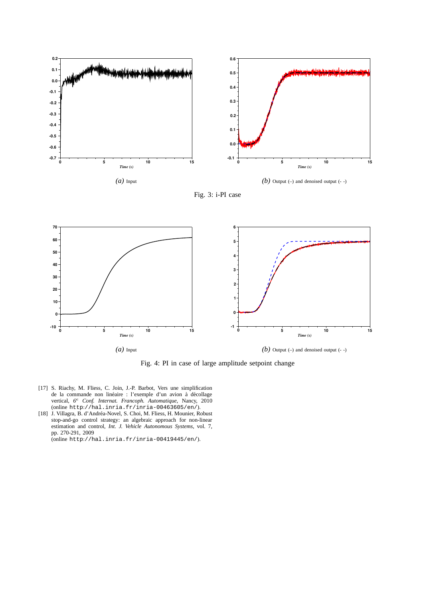<span id="page-5-0"></span>





Fig. 4: PI in case of large amplitude setpoint change

- [17] S. Riachy, M. Fliess, C. Join, J.-P. Barbot, Vers une simplification de la commande non linéaire : l'exemple d'un avion à décollage vertical, 6<sup>e</sup> Conf. Internat. Francoph. Automatique, Nancy, 2010 (online http://hal.inria.fr/inria-00463605/en/).
- [18] J. Villagra, B. d'Andréa-Novel, S. Choi, M. Fliess, H. Mounier, Robust stop-and-go control strategy: an algebraic approach for non-linear estimation and control, *Int. J. Vehicle Autonomous Systems*, vol. 7, pp. 270-291, 2009 (online http://hal.inria.fr/inria-00419445/en/).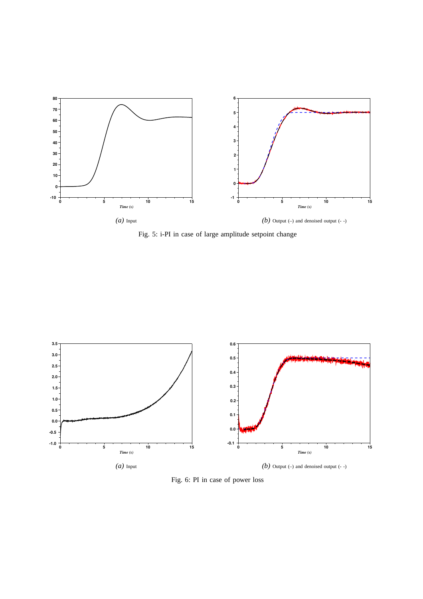<span id="page-6-0"></span>

Fig. 5: i-PI in case of large amplitude setpoint change



Fig. 6: PI in case of power loss